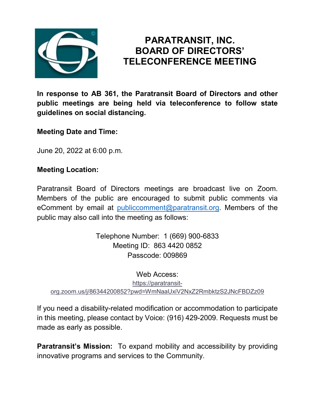

# **PARATRANSIT, INC. BOARD OF DIRECTORS' TELECONFERENCE MEETING**

**In response to AB 361, the Paratransit Board of Directors and other public meetings are being held via teleconference to follow state guidelines on social distancing.**

**Meeting Date and Time:**

June 20, 2022 at 6:00 p.m.

#### **Meeting Location:**

Paratransit Board of Directors meetings are broadcast live on Zoom. Members of the public are encouraged to submit public comments via eComment by email at [publiccomment@paratransit.org.](mailto:publiccomment@paratransit.org) Members of the public may also call into the meeting as follows:

> Telephone Number: 1 (669) 900-6833 Meeting ID: 863 4420 0852 Passcode: 009869

Web Access: [https://paratransit](https://paratransit-org.zoom.us/j/86344200852?pwd=WmNaaUxiV2NxZ2RmbktzS2JNcFBDZz09)[org.zoom.us/j/86344200852?pwd=WmNaaUxiV2NxZ2RmbktzS2JNcFBDZz09](https://paratransit-org.zoom.us/j/86344200852?pwd=WmNaaUxiV2NxZ2RmbktzS2JNcFBDZz09)

If you need a disability-related modification or accommodation to participate in this meeting, please contact by Voice: (916) 429-2009. Requests must be made as early as possible.

**Paratransit's Mission:** To expand mobility and accessibility by providing innovative programs and services to the Community.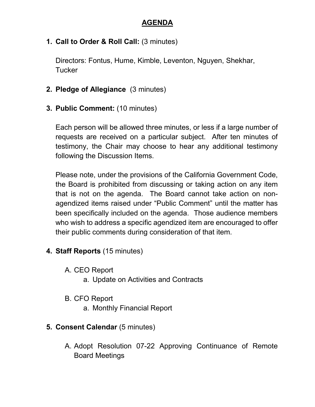### **AGENDA**

### **1. Call to Order & Roll Call:** (3 minutes)

Directors: Fontus, Hume, Kimble, Leventon, Nguyen, Shekhar, **Tucker** 

#### **2. Pledge of Allegiance** (3 minutes)

**3. Public Comment:** (10 minutes)

Each person will be allowed three minutes, or less if a large number of requests are received on a particular subject. After ten minutes of testimony, the Chair may choose to hear any additional testimony following the Discussion Items.

Please note, under the provisions of the California Government Code, the Board is prohibited from discussing or taking action on any item that is not on the agenda. The Board cannot take action on nonagendized items raised under "Public Comment" until the matter has been specifically included on the agenda. Those audience members who wish to address a specific agendized item are encouraged to offer their public comments during consideration of that item.

# **4. Staff Reports** (15 minutes)

- A. CEO Report
	- a. Update on Activities and Contracts
- B. CFO Report
	- a. Monthly Financial Report

# **5. Consent Calendar** (5 minutes)

A. Adopt Resolution 07-22 Approving Continuance of Remote Board Meetings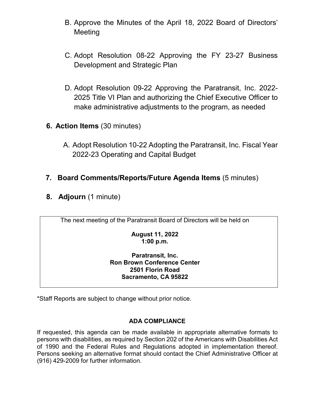- B. Approve the Minutes of the April 18, 2022 Board of Directors' **Meeting**
- C. Adopt Resolution 08-22 Approving the FY 23-27 Business Development and Strategic Plan
- D. Adopt Resolution 09-22 Approving the Paratransit, Inc. 2022- 2025 Title VI Plan and authorizing the Chief Executive Officer to make administrative adjustments to the program, as needed
- **6. Action Items** (30 minutes)
	- A. Adopt Resolution 10-22 Adopting the Paratransit, Inc. Fiscal Year 2022-23 Operating and Capital Budget

### **7. Board Comments/Reports/Future Agenda Items** (5 minutes)

**8. Adjourn** (1 minute)

The next meeting of the Paratransit Board of Directors will be held on

**August 11, 2022 1:00 p.m.**

#### **Paratransit, Inc. Ron Brown Conference Center 2501 Florin Road Sacramento, CA 95822**

\*Staff Reports are subject to change without prior notice.

#### **ADA COMPLIANCE**

If requested, this agenda can be made available in appropriate alternative formats to persons with disabilities, as required by Section 202 of the Americans with Disabilities Act of 1990 and the Federal Rules and Regulations adopted in implementation thereof. Persons seeking an alternative format should contact the Chief Administrative Officer at (916) 429-2009 for further information.